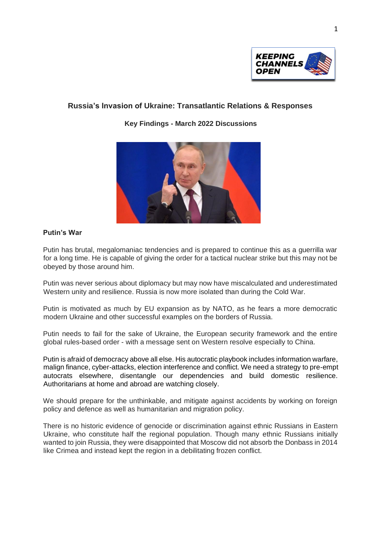

## **Russia's Invasion of Ukraine: Transatlantic Relations & Responses**

**Key Findings - March 2022 Discussions**



## **Putin's War**

Putin has brutal, megalomaniac tendencies and is prepared to continue this as a guerrilla war for a long time. He is capable of giving the order for a tactical nuclear strike but this may not be obeyed by those around him.

Putin was never serious about diplomacy but may now have miscalculated and underestimated Western unity and resilience. Russia is now more isolated than during the Cold War.

Putin is motivated as much by EU expansion as by NATO, as he fears a more democratic modern Ukraine and other successful examples on the borders of Russia.

Putin needs to fail for the sake of Ukraine, the European security framework and the entire global rules-based order - with a message sent on Western resolve especially to China.

Putin is afraid of democracy above all else. His autocratic playbook includes information warfare, malign finance, cyber-attacks, election interference and conflict. We need a strategy to pre-empt autocrats elsewhere, disentangle our dependencies and build domestic resilience. Authoritarians at home and abroad are watching closely.

We should prepare for the unthinkable, and mitigate against accidents by working on foreign policy and defence as well as humanitarian and migration policy.

There is no historic evidence of genocide or discrimination against ethnic Russians in Eastern Ukraine, who constitute half the regional population. Though many ethnic Russians initially wanted to join Russia, they were disappointed that Moscow did not absorb the Donbass in 2014 like Crimea and instead kept the region in a debilitating frozen conflict.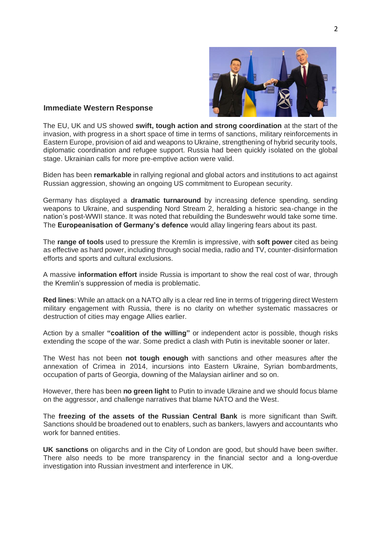

## **Immediate Western Response**

The EU, UK and US showed **swift, tough action and strong coordination** at the start of the invasion, with progress in a short space of time in terms of sanctions, military reinforcements in Eastern Europe, provision of aid and weapons to Ukraine, strengthening of hybrid security tools, diplomatic coordination and refugee support. Russia had been quickly isolated on the global stage. Ukrainian calls for more pre-emptive action were valid.

Biden has been **remarkable** in rallying regional and global actors and institutions to act against Russian aggression, showing an ongoing US commitment to European security.

Germany has displayed a **dramatic turnaround** by increasing defence spending, sending weapons to Ukraine, and suspending Nord Stream 2, heralding a historic sea-change in the nation's post-WWII stance. It was noted that rebuilding the Bundeswehr would take some time. The **Europeanisation of Germany's defence** would allay lingering fears about its past.

The **range of tools** used to pressure the Kremlin is impressive, with **soft power** cited as being as effective as hard power, including through social media, radio and TV, counter-disinformation efforts and sports and cultural exclusions.

A massive **information effort** inside Russia is important to show the real cost of war, through the Kremlin's suppression of media is problematic.

**Red lines**: While an attack on a NATO ally is a clear red line in terms of triggering direct Western military engagement with Russia, there is no clarity on whether systematic massacres or destruction of cities may engage Allies earlier.

Action by a smaller **"coalition of the willing"** or independent actor is possible, though risks extending the scope of the war. Some predict a clash with Putin is inevitable sooner or later.

The West has not been **not tough enough** with sanctions and other measures after the annexation of Crimea in 2014, incursions into Eastern Ukraine, Syrian bombardments, occupation of parts of Georgia, downing of the Malaysian airliner and so on.

However, there has been **no green light** to Putin to invade Ukraine and we should focus blame on the aggressor, and challenge narratives that blame NATO and the West.

The **freezing of the assets of the Russian Central Bank** is more significant than Swift. Sanctions should be broadened out to enablers, such as bankers, lawyers and accountants who work for banned entities.

**UK sanctions** on oligarchs and in the City of London are good, but should have been swifter. There also needs to be more transparency in the financial sector and a long-overdue investigation into Russian investment and interference in UK.